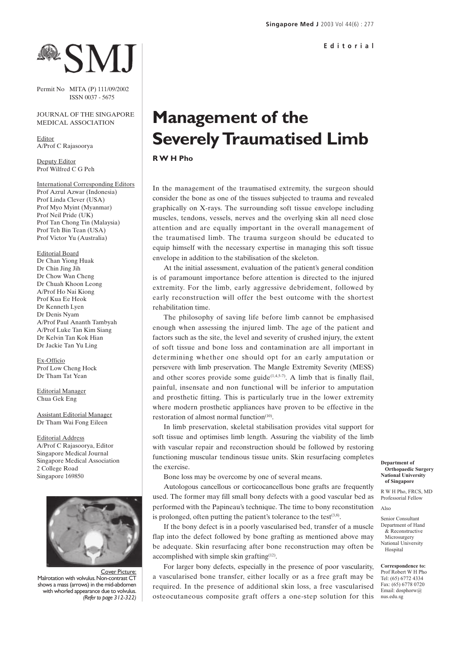# **BESM.**

Permit No MITA (P) 111/09/2002 ISSN 0037 - 5675

### JOURNAL OF THE SINGAPORE MEDICAL ASSOCIATION

Editor A/Prof C Rajasoorya

Deputy Editor Prof Wilfred C G Peh

International Corresponding Editors Prof Azrul Azwar (Indonesia) Prof Linda Clever (USA) Prof Myo Myint (Myanmar) Prof Neil Pride (UK) Prof Tan Chong Tin (Malaysia) Prof Teh Bin Tean (USA) Prof Victor Yu (Australia)

Editorial Board Dr Chan Yiong Huak Dr Chin Jing Jih Dr Chow Wan Cheng Dr Chuah Khoon Leong A/Prof Ho Nai Kiong Prof Kua Ee Heok Dr Kenneth Lyen Dr Denis Nyam A/Prof Paul Ananth Tambyah A/Prof Luke Tan Kim Siang Dr Kelvin Tan Kok Hian Dr Jackie Tan Yu Ling

Ex-Officio Prof Low Cheng Hock Dr Tham Tat Yean

Editorial Manager Chua Gek Eng

Assistant Editorial Manager Dr Tham Wai Fong Eileen

Editorial Address A/Prof C Rajasoorya, Editor Singapore Medical Journal Singapore Medical Association 2 College Road Singapore 169850



Cover Picture: Malrotation with volvulus. Non-contrast CT shows a mass (arrows) in the mid-abdomen with whorled appearance due to volvulus. *(Refer to page 312-322)*

## **Management of the Severely Traumatised Limb**

**R W H Pho**

In the management of the traumatised extremity, the surgeon should consider the bone as one of the tissues subjected to trauma and revealed graphically on X-rays. The surrounding soft tissue envelope including muscles, tendons, vessels, nerves and the overlying skin all need close attention and are equally important in the overall management of the traumatised limb. The trauma surgeon should be educated to equip himself with the necessary expertise in managing this soft tissue envelope in addition to the stabilisation of the skeleton.

At the initial assessment, evaluation of the patient's general condition is of paramount importance before attention is directed to the injured extremity. For the limb, early aggressive debridement, followed by early reconstruction will offer the best outcome with the shortest rehabilitation time.

The philosophy of saving life before limb cannot be emphasised enough when assessing the injured limb. The age of the patient and factors such as the site, the level and severity of crushed injury, the extent of soft tissue and bone loss and contamination are all important in determining whether one should opt for an early amputation or persevere with limb preservation. The Mangle Extremity Severity (MESS) and other scores provide some guide $(1,4,5-7)$ . A limb that is finally flail, painful, insensate and non functional will be inferior to amputation and prosthetic fitting. This is particularly true in the lower extremity where modern prosthetic appliances have proven to be effective in the restoration of almost normal function $(10)$ .

In limb preservation, skeletal stabilisation provides vital support for soft tissue and optimises limb length. Assuring the viability of the limb with vascular repair and reconstruction should be followed by restoring functioning muscular tendinous tissue units. Skin resurfacing completes the exercise.

Bone loss may be overcome by one of several means.

Autologous cancellous or corticocancellous bone grafts are frequently used. The former may fill small bony defects with a good vascular bed as performed with the Papineau's technique. The time to bony reconstitution is prolonged, often putting the patient's tolerance to the test<sup>(3,8)</sup>.

If the bony defect is in a poorly vascularised bed, transfer of a muscle flap into the defect followed by bone grafting as mentioned above may be adequate. Skin resurfacing after bone reconstruction may often be accomplished with simple skin grafting $(12)$ .

For larger bony defects, especially in the presence of poor vascularity, a vascularised bone transfer, either locally or as a free graft may be required. In the presence of additional skin loss, a free vascularised osteocutaneous composite graft offers a one-step solution for this

#### **Department of Orthopaedic Surgery National University of Singapore**

R W H Pho, FRCS, MD Professorial Fellow

Also

Senior Consultant Department of Hand & Reconstructive Microsurgery National University Hospital

**Correspondence to:** Prof Robert W H Pho Tel: (65) 6772 4334 Fax: (65) 6778 0720 Email: dosphorw@ nus.edu.sg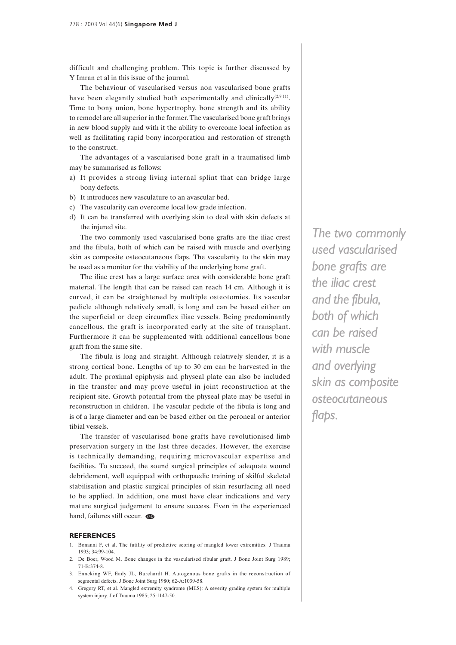difficult and challenging problem. This topic is further discussed by Y Imran et al in this issue of the journal.

The behaviour of vascularised versus non vascularised bone grafts have been elegantly studied both experimentally and clinically $(2,9,11)$ . Time to bony union, bone hypertrophy, bone strength and its ability to remodel are all superior in the former. The vascularised bone graft brings in new blood supply and with it the ability to overcome local infection as well as facilitating rapid bony incorporation and restoration of strength to the construct.

The advantages of a vascularised bone graft in a traumatised limb may be summarised as follows:

- a) It provides a strong living internal splint that can bridge large bony defects.
- b) It introduces new vasculature to an avascular bed.
- c) The vascularity can overcome local low grade infection.
- d) It can be transferred with overlying skin to deal with skin defects at the injured site.

The two commonly used vascularised bone grafts are the iliac crest and the fibula, both of which can be raised with muscle and overlying skin as composite osteocutaneous flaps. The vascularity to the skin may be used as a monitor for the viability of the underlying bone graft.

The iliac crest has a large surface area with considerable bone graft material. The length that can be raised can reach 14 cm. Although it is curved, it can be straightened by multiple osteotomies. Its vascular pedicle although relatively small, is long and can be based either on the superficial or deep circumflex iliac vessels. Being predominantly cancellous, the graft is incorporated early at the site of transplant. Furthermore it can be supplemented with additional cancellous bone graft from the same site.

The fibula is long and straight. Although relatively slender, it is a strong cortical bone. Lengths of up to 30 cm can be harvested in the adult. The proximal epiphysis and physeal plate can also be included in the transfer and may prove useful in joint reconstruction at the recipient site. Growth potential from the physeal plate may be useful in reconstruction in children. The vascular pedicle of the fibula is long and is of a large diameter and can be based either on the peroneal or anterior tibial vessels.

The transfer of vascularised bone grafts have revolutionised limb preservation surgery in the last three decades. However, the exercise is technically demanding, requiring microvascular expertise and facilities. To succeed, the sound surgical principles of adequate wound debridement, well equipped with orthopaedic training of skilful skeletal stabilisation and plastic surgical principles of skin resurfacing all need to be applied. In addition, one must have clear indications and very mature surgical judgement to ensure success. Even in the experienced hand, failures still occur.

### **REFERENCES**

- 1. Bonanni F, et al. The futility of predictive scoring of mangled lower extremities. J Trauma 1993; 34:99-104.
- 2. De Boer, Wood M. Bone changes in the vascularised fibular graft. J Bone Joint Surg 1989; 71-B:374-8.
- 3. Enneking WF, Eady JL, Burchardt H. Autogenous bone grafts in the reconstruction of segmental defects. J Bone Joint Surg 1980; 62-A:1039-58.
- 4. Gregory RT, et al. Mangled extremity syndrome (MES): A severity grading system for multiple system injury. J of Trauma 1985; 25:1147-50.

*The two commonly used vascularised bone grafts are the iliac crest and the fibula, both of which can be raised with muscle and overlying skin as composite osteocutaneous flaps.*